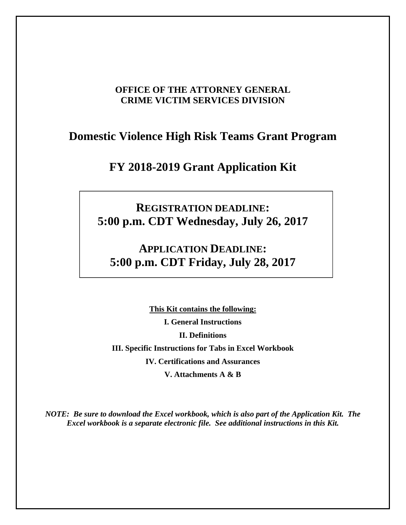# **OFFICE OF THE ATTORNEY GENERAL CRIME VICTIM SERVICES DIVISION**

# **Domestic Violence High Risk Teams Grant Program**

# **FY 2018-2019 Grant Application Kit**

# **REGISTRATION DEADLINE: 5:00 p.m. CDT Wednesday, July 26, 2017**

# **APPLICATION DEADLINE: 5:00 p.m. CDT Friday, July 28, 2017**

**This Kit contains the following: I. General Instructions II. Definitions III. Specific Instructions for Tabs in Excel Workbook IV. Certifications and Assurances V. Attachments A & B** 

*NOTE: Be sure to download the Excel workbook, which is also part of the Application Kit. The Excel workbook is a separate electronic file. See additional instructions in this Kit.*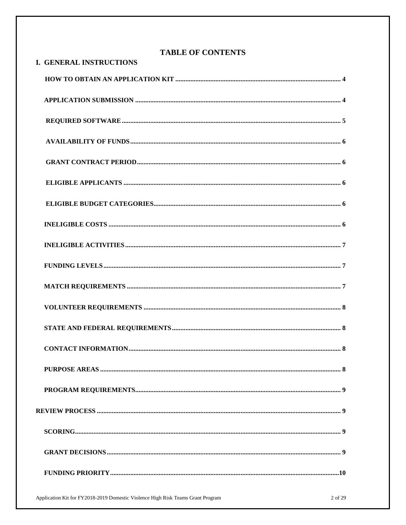| <b>TABLE OF CONTENTS</b>       |  |  |
|--------------------------------|--|--|
| <b>I. GENERAL INSTRUCTIONS</b> |  |  |
|                                |  |  |
|                                |  |  |
|                                |  |  |
|                                |  |  |
|                                |  |  |
|                                |  |  |
|                                |  |  |
|                                |  |  |
|                                |  |  |
|                                |  |  |
|                                |  |  |
|                                |  |  |
|                                |  |  |
|                                |  |  |
|                                |  |  |
|                                |  |  |
|                                |  |  |
|                                |  |  |
|                                |  |  |
|                                |  |  |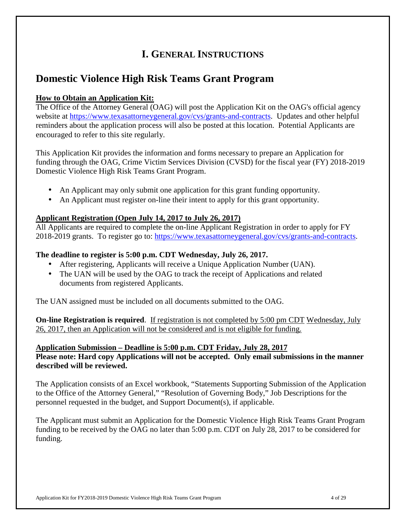# **I. GENERAL INSTRUCTIONS**

# **Domestic Violence High Risk Teams Grant Program**

# **How to Obtain an Application Kit:**

The Office of the Attorney General (OAG) will post the Application Kit on the OAG's official agency website at https://www.texasattorneygeneral.gov/cvs/grants-and-contracts. Updates and other helpful reminders about the application process will also be posted at this location. Potential Applicants are encouraged to refer to this site regularly.

This Application Kit provides the information and forms necessary to prepare an Application for funding through the OAG, Crime Victim Services Division (CVSD) for the fiscal year (FY) 2018-2019 Domestic Violence High Risk Teams Grant Program.

- An Applicant may only submit one application for this grant funding opportunity.
- An Applicant must register on-line their intent to apply for this grant opportunity.

# **Applicant Registration (Open July 14, 2017 to July 26, 2017)**

All Applicants are required to complete the on-line Applicant Registration in order to apply for FY 2018-2019 grants. To register go to: https://www.texasattorneygeneral.gov/cvs/grants-and-contracts.

# **The deadline to register is 5:00 p.m. CDT Wednesday, July 26, 2017.**

- After registering, Applicants will receive a Unique Application Number (UAN).
- The UAN will be used by the OAG to track the receipt of Applications and related documents from registered Applicants.

The UAN assigned must be included on all documents submitted to the OAG.

**On-line Registration is required**. If registration is not completed by 5:00 pm CDT Wednesday, July 26, 2017, then an Application will not be considered and is not eligible for funding.

**Application Submission – Deadline is 5:00 p.m. CDT Friday, July 28, 2017 Please note: Hard copy Applications will not be accepted. Only email submissions in the manner described will be reviewed.** 

The Application consists of an Excel workbook, "Statements Supporting Submission of the Application to the Office of the Attorney General," "Resolution of Governing Body," Job Descriptions for the personnel requested in the budget, and Support Document(s), if applicable.

The Applicant must submit an Application for the Domestic Violence High Risk Teams Grant Program funding to be received by the OAG no later than 5:00 p.m. CDT on July 28, 2017 to be considered for funding.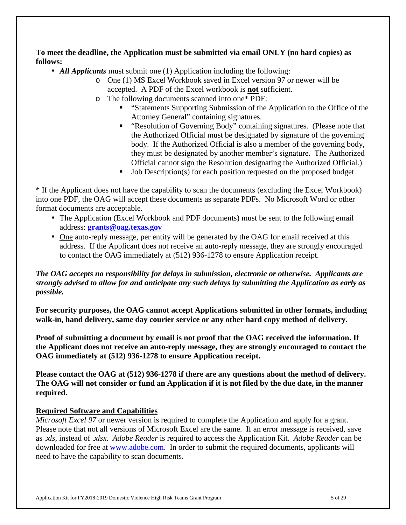**To meet the deadline, the Application must be submitted via email ONLY (no hard copies) as follows:** 

- *All Applicants* must submit one (1) Application including the following:
	- o One (1) MS Excel Workbook saved in Excel version 97 or newer will be accepted. A PDF of the Excel workbook is **not** sufficient.
	- o The following documents scanned into one\* PDF:
		- "Statements Supporting Submission of the Application to the Office of the Attorney General" containing signatures.
		- " "Resolution of Governing Body" containing signatures. (Please note that the Authorized Official must be designated by signature of the governing body. If the Authorized Official is also a member of the governing body, they must be designated by another member's signature. The Authorized Official cannot sign the Resolution designating the Authorized Official.)
		- Job Description(s) for each position requested on the proposed budget.

\* If the Applicant does not have the capability to scan the documents (excluding the Excel Workbook) into one PDF, the OAG will accept these documents as separate PDFs. No Microsoft Word or other format documents are acceptable.

- The Application (Excel Workbook and PDF documents) must be sent to the following email address: **grants@oag.texas.gov**
- One auto-reply message, per entity will be generated by the OAG for email received at this address. If the Applicant does not receive an auto-reply message, they are strongly encouraged to contact the OAG immediately at (512) 936-1278 to ensure Application receipt.

### *The OAG accepts no responsibility for delays in submission, electronic or otherwise. Applicants are strongly advised to allow for and anticipate any such delays by submitting the Application as early as possible.*

**For security purposes, the OAG cannot accept Applications submitted in other formats, including walk-in, hand delivery, same day courier service or any other hard copy method of delivery.** 

**Proof of submitting a document by email is not proof that the OAG received the information. If the Applicant does not receive an auto-reply message, they are strongly encouraged to contact the OAG immediately at (512) 936-1278 to ensure Application receipt.** 

**Please contact the OAG at (512) 936-1278 if there are any questions about the method of delivery. The OAG will not consider or fund an Application if it is not filed by the due date, in the manner required.** 

### **Required Software and Capabilities**

*Microsoft Excel 97* or newer version is required to complete the Application and apply for a grant. Please note that not all versions of Microsoft Excel are the same. If an error message is received, save as *.xls*, instead of .*xlsx. Adobe Reader* is required to access the Application Kit. *Adobe Reader* can be downloaded for free at www.adobe.com. In order to submit the required documents, applicants will need to have the capability to scan documents.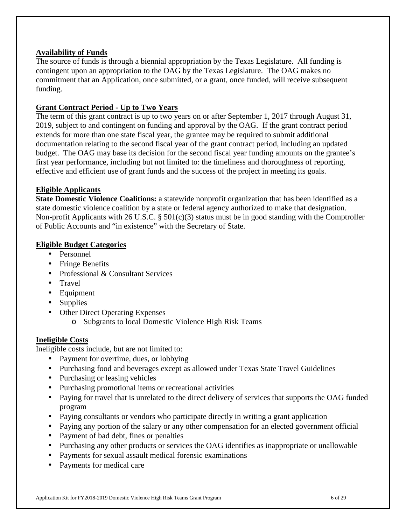### **Availability of Funds**

The source of funds is through a biennial appropriation by the Texas Legislature. All funding is contingent upon an appropriation to the OAG by the Texas Legislature. The OAG makes no commitment that an Application, once submitted, or a grant, once funded, will receive subsequent funding.

### **Grant Contract Period - Up to Two Years**

The term of this grant contract is up to two years on or after September 1, 2017 through August 31, 2019, subject to and contingent on funding and approval by the OAG. If the grant contract period extends for more than one state fiscal year, the grantee may be required to submit additional documentation relating to the second fiscal year of the grant contract period, including an updated budget. The OAG may base its decision for the second fiscal year funding amounts on the grantee's first year performance, including but not limited to: the timeliness and thoroughness of reporting, effective and efficient use of grant funds and the success of the project in meeting its goals.

### **Eligible Applicants**

**State Domestic Violence Coalitions:** a statewide nonprofit organization that has been identified as a state domestic violence coalition by a state or federal agency authorized to make that designation. Non-profit Applicants with 26 U.S.C. § 501(c)(3) status must be in good standing with the Comptroller of Public Accounts and "in existence" with the Secretary of State.

#### **Eligible Budget Categories**

- Personnel
- Fringe Benefits
- Professional & Consultant Services
- Travel
- Equipment
- Supplies
- Other Direct Operating Expenses
	- o Subgrants to local Domestic Violence High Risk Teams

### **Ineligible Costs**

Ineligible costs include, but are not limited to:

- Payment for overtime, dues, or lobbying
- Purchasing food and beverages except as allowed under Texas State Travel Guidelines
- Purchasing or leasing vehicles
- Purchasing promotional items or recreational activities
- Paying for travel that is unrelated to the direct delivery of services that supports the OAG funded program
- Paying consultants or vendors who participate directly in writing a grant application
- Paying any portion of the salary or any other compensation for an elected government official
- Payment of bad debt, fines or penalties
- Purchasing any other products or services the OAG identifies as inappropriate or unallowable
- Payments for sexual assault medical forensic examinations
- Payments for medical care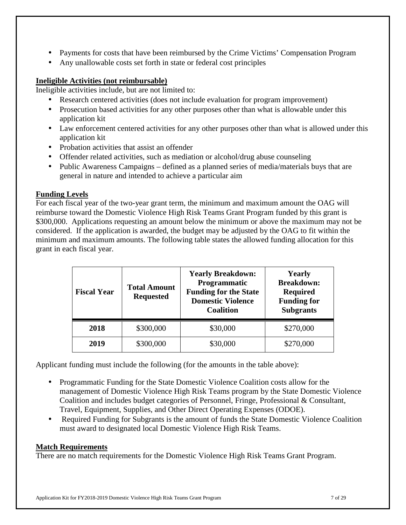- Payments for costs that have been reimbursed by the Crime Victims' Compensation Program
- Any unallowable costs set forth in state or federal cost principles

# **Ineligible Activities (not reimbursable)**

Ineligible activities include, but are not limited to:

- Research centered activities (does not include evaluation for program improvement)
- Prosecution based activities for any other purposes other than what is allowable under this application kit
- Law enforcement centered activities for any other purposes other than what is allowed under this application kit
- Probation activities that assist an offender
- Offender related activities, such as mediation or alcohol/drug abuse counseling
- Public Awareness Campaigns defined as a planned series of media/materials buys that are general in nature and intended to achieve a particular aim

# **Funding Levels**

For each fiscal year of the two-year grant term, the minimum and maximum amount the OAG will reimburse toward the Domestic Violence High Risk Teams Grant Program funded by this grant is \$300,000. Applications requesting an amount below the minimum or above the maximum may not be considered. If the application is awarded, the budget may be adjusted by the OAG to fit within the minimum and maximum amounts. The following table states the allowed funding allocation for this grant in each fiscal year.

| <b>Fiscal Year</b> | <b>Total Amount</b><br><b>Requested</b> | <b>Yearly Breakdown:</b><br>Programmatic<br><b>Funding for the State</b><br><b>Domestic Violence</b><br><b>Coalition</b> | <b>Yearly</b><br><b>Breakdown:</b><br><b>Required</b><br><b>Funding for</b><br><b>Subgrants</b> |
|--------------------|-----------------------------------------|--------------------------------------------------------------------------------------------------------------------------|-------------------------------------------------------------------------------------------------|
| 2018               | \$300,000                               | \$30,000                                                                                                                 | \$270,000                                                                                       |
| 2019               | \$300,000                               | \$30,000                                                                                                                 | \$270,000                                                                                       |

Applicant funding must include the following (for the amounts in the table above):

- Programmatic Funding for the State Domestic Violence Coalition costs allow for the management of Domestic Violence High Risk Teams program by the State Domestic Violence Coalition and includes budget categories of Personnel, Fringe, Professional & Consultant, Travel, Equipment, Supplies, and Other Direct Operating Expenses (ODOE).
- Required Funding for Subgrants is the amount of funds the State Domestic Violence Coalition must award to designated local Domestic Violence High Risk Teams.

# **Match Requirements**

There are no match requirements for the Domestic Violence High Risk Teams Grant Program.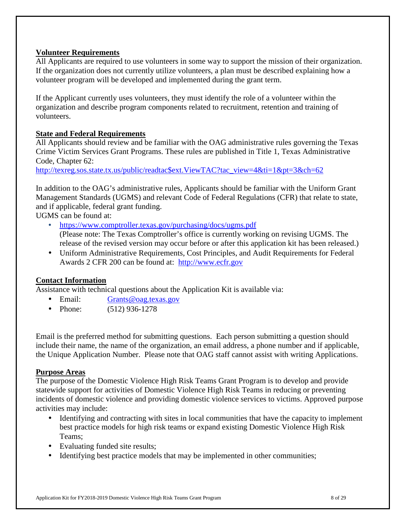### **Volunteer Requirements**

All Applicants are required to use volunteers in some way to support the mission of their organization. If the organization does not currently utilize volunteers, a plan must be described explaining how a volunteer program will be developed and implemented during the grant term.

If the Applicant currently uses volunteers, they must identify the role of a volunteer within the organization and describe program components related to recruitment, retention and training of volunteers.

### **State and Federal Requirements**

All Applicants should review and be familiar with the OAG administrative rules governing the Texas Crime Victim Services Grant Programs. These rules are published in Title 1, Texas Administrative Code, Chapter 62:

http://texreg.sos.state.tx.us/public/readtac\$ext.ViewTAC?tac\_view=4&ti=1&pt=3&ch=62

In addition to the OAG's administrative rules, Applicants should be familiar with the Uniform Grant Management Standards (UGMS) and relevant Code of Federal Regulations (CFR) that relate to state, and if applicable, federal grant funding.

UGMS can be found at:

- https://www.comptroller.texas.gov/purchasing/docs/ugms.pdf (Please note: The Texas Comptroller's office is currently working on revising UGMS. The release of the revised version may occur before or after this application kit has been released.)
- Uniform Administrative Requirements, Cost Principles, and Audit Requirements for Federal Awards 2 CFR 200 can be found at: http://www.ecfr.gov

### **Contact Information**

Assistance with technical questions about the Application Kit is available via:

- Email: Grants@oag.texas.gov
- Phone: (512) 936-1278

Email is the preferred method for submitting questions. Each person submitting a question should include their name, the name of the organization, an email address, a phone number and if applicable, the Unique Application Number. Please note that OAG staff cannot assist with writing Applications.

### **Purpose Areas**

The purpose of the Domestic Violence High Risk Teams Grant Program is to develop and provide statewide support for activities of Domestic Violence High Risk Teams in reducing or preventing incidents of domestic violence and providing domestic violence services to victims. Approved purpose activities may include:

- Identifying and contracting with sites in local communities that have the capacity to implement best practice models for high risk teams or expand existing Domestic Violence High Risk Teams;
- Evaluating funded site results;
- Identifying best practice models that may be implemented in other communities;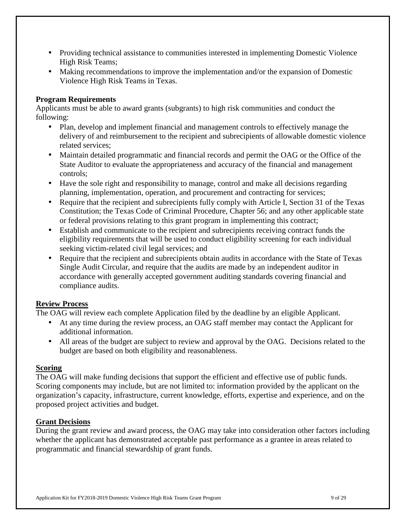- Providing technical assistance to communities interested in implementing Domestic Violence High Risk Teams;
- Making recommendations to improve the implementation and/or the expansion of Domestic Violence High Risk Teams in Texas.

### **Program Requirements**

Applicants must be able to award grants (subgrants) to high risk communities and conduct the following:

- Plan, develop and implement financial and management controls to effectively manage the delivery of and reimbursement to the recipient and subrecipients of allowable domestic violence related services;
- Maintain detailed programmatic and financial records and permit the OAG or the Office of the State Auditor to evaluate the appropriateness and accuracy of the financial and management controls;
- Have the sole right and responsibility to manage, control and make all decisions regarding planning, implementation, operation, and procurement and contracting for services;
- Require that the recipient and subrecipients fully comply with Article I, Section 31 of the Texas Constitution; the Texas Code of Criminal Procedure, Chapter 56; and any other applicable state or federal provisions relating to this grant program in implementing this contract;
- Establish and communicate to the recipient and subrecipients receiving contract funds the eligibility requirements that will be used to conduct eligibility screening for each individual seeking victim-related civil legal services; and
- Require that the recipient and subrecipients obtain audits in accordance with the State of Texas Single Audit Circular, and require that the audits are made by an independent auditor in accordance with generally accepted government auditing standards covering financial and compliance audits.

### **Review Process**

The OAG will review each complete Application filed by the deadline by an eligible Applicant.

- At any time during the review process, an OAG staff member may contact the Applicant for additional information.
- All areas of the budget are subject to review and approval by the OAG. Decisions related to the budget are based on both eligibility and reasonableness.

### **Scoring**

The OAG will make funding decisions that support the efficient and effective use of public funds. Scoring components may include, but are not limited to: information provided by the applicant on the organization's capacity, infrastructure, current knowledge, efforts, expertise and experience, and on the proposed project activities and budget.

# **Grant Decisions**

During the grant review and award process, the OAG may take into consideration other factors including whether the applicant has demonstrated acceptable past performance as a grantee in areas related to programmatic and financial stewardship of grant funds.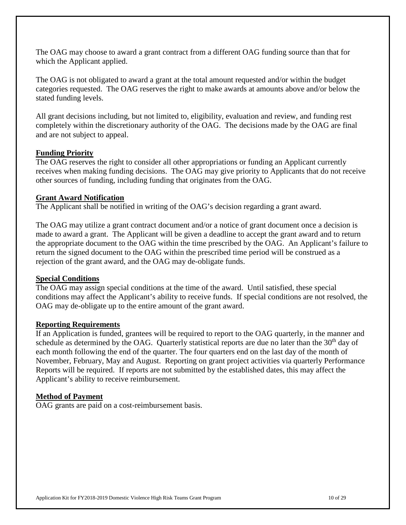The OAG may choose to award a grant contract from a different OAG funding source than that for which the Applicant applied.

The OAG is not obligated to award a grant at the total amount requested and/or within the budget categories requested. The OAG reserves the right to make awards at amounts above and/or below the stated funding levels.

All grant decisions including, but not limited to, eligibility, evaluation and review, and funding rest completely within the discretionary authority of the OAG. The decisions made by the OAG are final and are not subject to appeal.

### **Funding Priority**

The OAG reserves the right to consider all other appropriations or funding an Applicant currently receives when making funding decisions. The OAG may give priority to Applicants that do not receive other sources of funding, including funding that originates from the OAG.

#### **Grant Award Notification**

The Applicant shall be notified in writing of the OAG's decision regarding a grant award.

The OAG may utilize a grant contract document and/or a notice of grant document once a decision is made to award a grant. The Applicant will be given a deadline to accept the grant award and to return the appropriate document to the OAG within the time prescribed by the OAG. An Applicant's failure to return the signed document to the OAG within the prescribed time period will be construed as a rejection of the grant award, and the OAG may de-obligate funds.

### **Special Conditions**

The OAG may assign special conditions at the time of the award. Until satisfied, these special conditions may affect the Applicant's ability to receive funds. If special conditions are not resolved, the OAG may de-obligate up to the entire amount of the grant award.

#### **Reporting Requirements**

If an Application is funded, grantees will be required to report to the OAG quarterly, in the manner and schedule as determined by the OAG. Quarterly statistical reports are due no later than the 30<sup>th</sup> day of each month following the end of the quarter. The four quarters end on the last day of the month of November, February, May and August. Reporting on grant project activities via quarterly Performance Reports will be required. If reports are not submitted by the established dates, this may affect the Applicant's ability to receive reimbursement.

### **Method of Payment**

OAG grants are paid on a cost-reimbursement basis.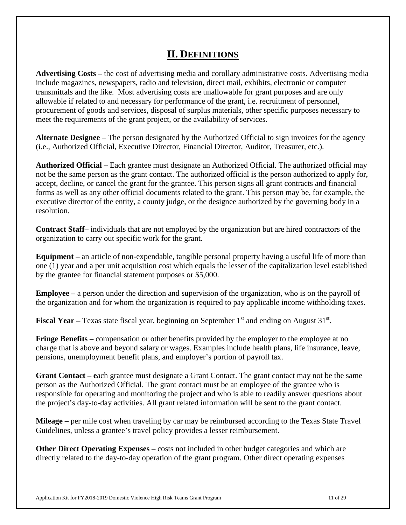# **II. DEFINITIONS**

**Advertising Costs –** the cost of advertising media and corollary administrative costs. Advertising media include magazines, newspapers, radio and television, direct mail, exhibits, electronic or computer transmittals and the like. Most advertising costs are unallowable for grant purposes and are only allowable if related to and necessary for performance of the grant, i.e. recruitment of personnel, procurement of goods and services, disposal of surplus materials, other specific purposes necessary to meet the requirements of the grant project, or the availability of services.

**Alternate Designee** – The person designated by the Authorized Official to sign invoices for the agency (i.e., Authorized Official, Executive Director, Financial Director, Auditor, Treasurer, etc.).

**Authorized Official –** Each grantee must designate an Authorized Official. The authorized official may not be the same person as the grant contact. The authorized official is the person authorized to apply for, accept, decline, or cancel the grant for the grantee. This person signs all grant contracts and financial forms as well as any other official documents related to the grant. This person may be, for example, the executive director of the entity, a county judge, or the designee authorized by the governing body in a resolution.

**Contract Staff–** individuals that are not employed by the organization but are hired contractors of the organization to carry out specific work for the grant.

**Equipment –** an article of non-expendable, tangible personal property having a useful life of more than one (1) year and a per unit acquisition cost which equals the lesser of the capitalization level established by the grantee for financial statement purposes or \$5,000.

**Employee –** a person under the direction and supervision of the organization, who is on the payroll of the organization and for whom the organization is required to pay applicable income withholding taxes.

Fiscal Year – Texas state fiscal year, beginning on September 1<sup>st</sup> and ending on August 31<sup>st</sup>.

**Fringe Benefits** – compensation or other benefits provided by the employer to the employee at no charge that is above and beyond salary or wages. Examples include health plans, life insurance, leave, pensions, unemployment benefit plans, and employer's portion of payroll tax.

**Grant Contact – e**ach grantee must designate a Grant Contact. The grant contact may not be the same person as the Authorized Official. The grant contact must be an employee of the grantee who is responsible for operating and monitoring the project and who is able to readily answer questions about the project's day-to-day activities. All grant related information will be sent to the grant contact.

**Mileage –** per mile cost when traveling by car may be reimbursed according to the Texas State Travel Guidelines, unless a grantee's travel policy provides a lesser reimbursement.

**Other Direct Operating Expenses** – costs not included in other budget categories and which are directly related to the day-to-day operation of the grant program. Other direct operating expenses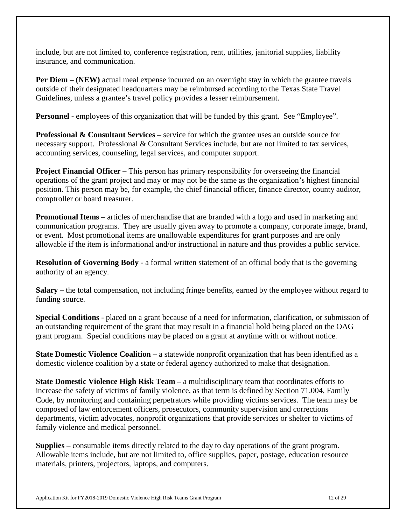include, but are not limited to, conference registration, rent, utilities, janitorial supplies, liability insurance, and communication.

**Per Diem – (NEW)** actual meal expense incurred on an overnight stay in which the grantee travels outside of their designated headquarters may be reimbursed according to the Texas State Travel Guidelines, unless a grantee's travel policy provides a lesser reimbursement.

**Personnel -** employees of this organization that will be funded by this grant. See "Employee".

**Professional & Consultant Services –** service for which the grantee uses an outside source for necessary support. Professional & Consultant Services include, but are not limited to tax services, accounting services, counseling, legal services, and computer support.

**Project Financial Officer** – This person has primary responsibility for overseeing the financial operations of the grant project and may or may not be the same as the organization's highest financial position. This person may be, for example, the chief financial officer, finance director, county auditor, comptroller or board treasurer.

**Promotional Items** – articles of merchandise that are branded with a logo and used in marketing and communication programs. They are usually given away to promote a company, corporate image, brand, or event. Most promotional items are unallowable expenditures for grant purposes and are only allowable if the item is informational and/or instructional in nature and thus provides a public service.

**Resolution of Governing Body** - a formal written statement of an official body that is the governing authority of an agency.

**Salary –** the total compensation, not including fringe benefits, earned by the employee without regard to funding source.

**Special Conditions** - placed on a grant because of a need for information, clarification, or submission of an outstanding requirement of the grant that may result in a financial hold being placed on the OAG grant program. Special conditions may be placed on a grant at anytime with or without notice.

**State Domestic Violence Coalition** – a statewide nonprofit organization that has been identified as a domestic violence coalition by a state or federal agency authorized to make that designation.

**State Domestic Violence High Risk Team** – a multidisciplinary team that coordinates efforts to increase the safety of victims of family violence, as that term is defined by Section 71.004, Family Code, by monitoring and containing perpetrators while providing victims services. The team may be composed of law enforcement officers, prosecutors, community supervision and corrections departments, victim advocates, nonprofit organizations that provide services or shelter to victims of family violence and medical personnel.

**Supplies –** consumable items directly related to the day to day operations of the grant program. Allowable items include, but are not limited to, office supplies, paper, postage, education resource materials, printers, projectors, laptops, and computers.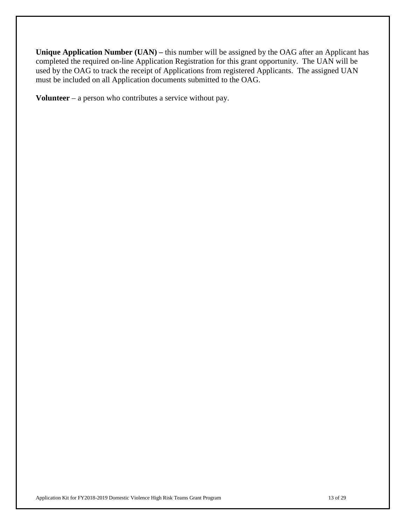**Unique Application Number (UAN) –** this number will be assigned by the OAG after an Applicant has completed the required on-line Application Registration for this grant opportunity. The UAN will be used by the OAG to track the receipt of Applications from registered Applicants. The assigned UAN must be included on all Application documents submitted to the OAG.

**Volunteer** – a person who contributes a service without pay.

Application Kit for FY2018-2019 Domestic Violence High Risk Teams Grant Program 13 of 29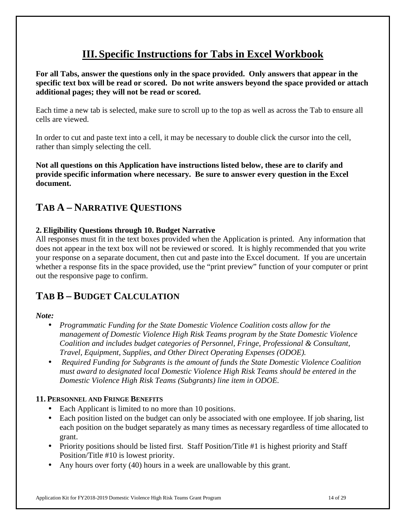# **III. Specific Instructions for Tabs in Excel Workbook**

**For all Tabs, answer the questions only in the space provided. Only answers that appear in the specific text box will be read or scored. Do not write answers beyond the space provided or attach additional pages; they will not be read or scored.** 

Each time a new tab is selected, make sure to scroll up to the top as well as across the Tab to ensure all cells are viewed.

In order to cut and paste text into a cell, it may be necessary to double click the cursor into the cell, rather than simply selecting the cell.

**Not all questions on this Application have instructions listed below, these are to clarify and provide specific information where necessary. Be sure to answer every question in the Excel document.** 

# **TAB A – NARRATIVE QUESTIONS**

# **2. Eligibility Questions through 10. Budget Narrative**

All responses must fit in the text boxes provided when the Application is printed. Any information that does not appear in the text box will not be reviewed or scored. It is highly recommended that you write your response on a separate document, then cut and paste into the Excel document. If you are uncertain whether a response fits in the space provided, use the "print preview" function of your computer or print out the responsive page to confirm.

# **TAB B – BUDGET CALCULATION**

### *Note:*

- *Programmatic Funding for the State Domestic Violence Coalition costs allow for the management of Domestic Violence High Risk Teams program by the State Domestic Violence Coalition and includes budget categories of Personnel, Fringe, Professional & Consultant, Travel, Equipment, Supplies, and Other Direct Operating Expenses (ODOE).*
- • *Required Funding for Subgrants is the amount of funds the State Domestic Violence Coalition must award to designated local Domestic Violence High Risk Teams should be entered in the Domestic Violence High Risk Teams (Subgrants) line item in ODOE.*

### **11. PERSONNEL AND FRINGE BENEFITS**

- Each Applicant is limited to no more than 10 positions.
- Each position listed on the budget can only be associated with one employee. If job sharing, list each position on the budget separately as many times as necessary regardless of time allocated to grant.
- Priority positions should be listed first. Staff Position/Title #1 is highest priority and Staff Position/Title #10 is lowest priority.
- Any hours over forty (40) hours in a week are unallowable by this grant.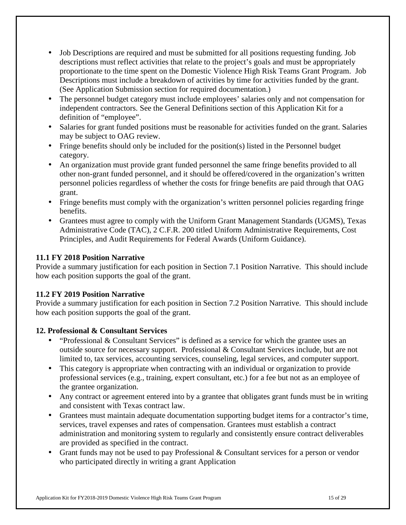- Job Descriptions are required and must be submitted for all positions requesting funding. Job descriptions must reflect activities that relate to the project's goals and must be appropriately proportionate to the time spent on the Domestic Violence High Risk Teams Grant Program. Job Descriptions must include a breakdown of activities by time for activities funded by the grant. (See Application Submission section for required documentation.)
- The personnel budget category must include employees' salaries only and not compensation for independent contractors. See the General Definitions section of this Application Kit for a definition of "employee".
- Salaries for grant funded positions must be reasonable for activities funded on the grant. Salaries may be subject to OAG review.
- Fringe benefits should only be included for the position(s) listed in the Personnel budget category.
- An organization must provide grant funded personnel the same fringe benefits provided to all other non-grant funded personnel, and it should be offered/covered in the organization's written personnel policies regardless of whether the costs for fringe benefits are paid through that OAG grant.
- Fringe benefits must comply with the organization's written personnel policies regarding fringe benefits.
- Grantees must agree to comply with the Uniform Grant Management Standards (UGMS), Texas Administrative Code (TAC), 2 C.F.R. 200 titled Uniform Administrative Requirements, Cost Principles, and Audit Requirements for Federal Awards (Uniform Guidance).

# **11.1 FY 2018 Position Narrative**

Provide a summary justification for each position in Section 7.1 Position Narrative. This should include how each position supports the goal of the grant.

# **11.2 FY 2019 Position Narrative**

Provide a summary justification for each position in Section 7.2 Position Narrative. This should include how each position supports the goal of the grant.

# **12. Professional & Consultant Services**

- "Professional & Consultant Services" is defined as a service for which the grantee uses an outside source for necessary support. Professional & Consultant Services include, but are not limited to, tax services, accounting services, counseling, legal services, and computer support.
- This category is appropriate when contracting with an individual or organization to provide professional services (e.g., training, expert consultant, etc.) for a fee but not as an employee of the grantee organization.
- Any contract or agreement entered into by a grantee that obligates grant funds must be in writing and consistent with Texas contract law.
- Grantees must maintain adequate documentation supporting budget items for a contractor's time, services, travel expenses and rates of compensation. Grantees must establish a contract administration and monitoring system to regularly and consistently ensure contract deliverables are provided as specified in the contract.
- Grant funds may not be used to pay Professional & Consultant services for a person or vendor who participated directly in writing a grant Application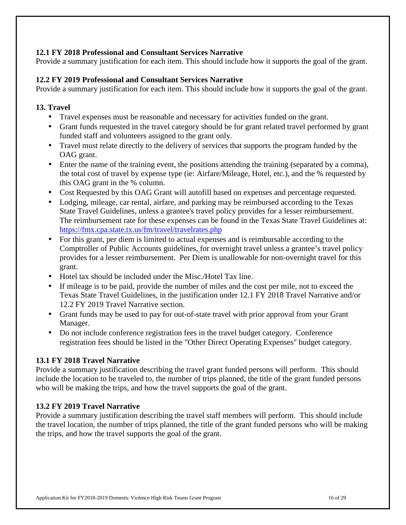# **12.1 FY 2018 Professional and Consultant Services Narrative**

Provide a summary justification for each item. This should include how it supports the goal of the grant.

### **12.2 FY 2019 Professional and Consultant Services Narrative**

Provide a summary justification for each item. This should include how it supports the goal of the grant.

### **13. Travel**

- Travel expenses must be reasonable and necessary for activities funded on the grant.
- Grant funds requested in the travel category should be for grant related travel performed by grant funded staff and volunteers assigned to the grant only.
- Travel must relate directly to the delivery of services that supports the program funded by the OAG grant.
- Enter the name of the training event, the positions attending the training (separated by a comma), the total cost of travel by expense type (ie: Airfare/Mileage, Hotel, etc.), and the % requested by this OAG grant in the % column.
- Cost Requested by this OAG Grant will autofill based on expenses and percentage requested.
- Lodging, mileage, car rental, airfare, and parking may be reimbursed according to the Texas State Travel Guidelines, unless a grantee's travel policy provides for a lesser reimbursement. The reimbursement rate for these expenses can be found in the Texas State Travel Guidelines at: https://fmx.cpa.state.tx.us/fm/travel/travelrates.php
- For this grant, per diem is limited to actual expenses and is reimbursable according to the Comptroller of Public Accounts guidelines, for overnight travel unless a grantee's travel policy provides for a lesser reimbursement. Per Diem is unallowable for non-overnight travel for this grant.
- Hotel tax should be included under the Misc./Hotel Tax line.
- If mileage is to be paid, provide the number of miles and the cost per mile, not to exceed the Texas State Travel Guidelines, in the justification under 12.1 FY 2018 Travel Narrative and/or 12.2 FY 2019 Travel Narrative section.
- Grant funds may be used to pay for out-of-state travel with prior approval from your Grant Manager.
- Do not include conference registration fees in the travel budget category. Conference registration fees should be listed in the "Other Direct Operating Expenses" budget category.

### **13.1 FY 2018 Travel Narrative**

Provide a summary justification describing the travel grant funded persons will perform. This should include the location to be traveled to, the number of trips planned, the title of the grant funded persons who will be making the trips, and how the travel supports the goal of the grant.

### **13.2 FY 2019 Travel Narrative**

Provide a summary justification describing the travel staff members will perform. This should include the travel location, the number of trips planned, the title of the grant funded persons who will be making the trips, and how the travel supports the goal of the grant.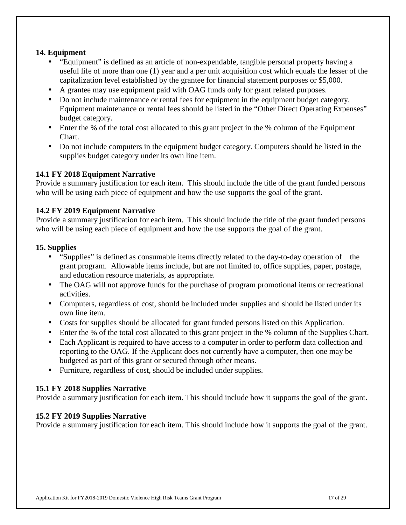### **14. Equipment**

- "Equipment" is defined as an article of non-expendable, tangible personal property having a useful life of more than one (1) year and a per unit acquisition cost which equals the lesser of the capitalization level established by the grantee for financial statement purposes or \$5,000.
- A grantee may use equipment paid with OAG funds only for grant related purposes.
- Do not include maintenance or rental fees for equipment in the equipment budget category. Equipment maintenance or rental fees should be listed in the "Other Direct Operating Expenses" budget category.
- Enter the % of the total cost allocated to this grant project in the % column of the Equipment Chart.
- Do not include computers in the equipment budget category. Computers should be listed in the supplies budget category under its own line item.

### **14.1 FY 2018 Equipment Narrative**

Provide a summary justification for each item. This should include the title of the grant funded persons who will be using each piece of equipment and how the use supports the goal of the grant.

### **14.2 FY 2019 Equipment Narrative**

Provide a summary justification for each item. This should include the title of the grant funded persons who will be using each piece of equipment and how the use supports the goal of the grant.

#### **15. Supplies**

- "Supplies" is defined as consumable items directly related to the day-to-day operation of the grant program. Allowable items include, but are not limited to, office supplies, paper, postage, and education resource materials, as appropriate.
- The OAG will not approve funds for the purchase of program promotional items or recreational activities.
- Computers, regardless of cost, should be included under supplies and should be listed under its own line item.
- Costs for supplies should be allocated for grant funded persons listed on this Application.
- Enter the % of the total cost allocated to this grant project in the % column of the Supplies Chart.
- Each Applicant is required to have access to a computer in order to perform data collection and reporting to the OAG. If the Applicant does not currently have a computer, then one may be budgeted as part of this grant or secured through other means.
- Furniture, regardless of cost, should be included under supplies.

### **15.1 FY 2018 Supplies Narrative**

Provide a summary justification for each item. This should include how it supports the goal of the grant.

### **15.2 FY 2019 Supplies Narrative**

Provide a summary justification for each item. This should include how it supports the goal of the grant.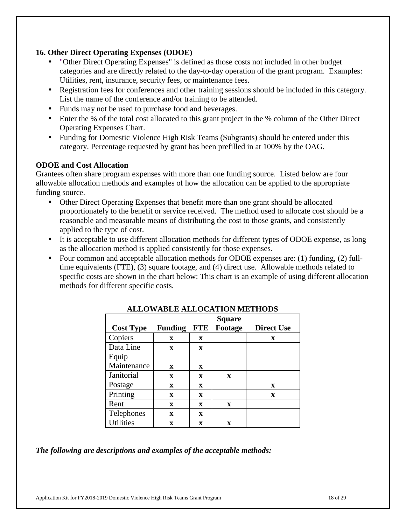### **16. Other Direct Operating Expenses (ODOE)**

- "Other Direct Operating Expenses" is defined as those costs not included in other budget categories and are directly related to the day-to-day operation of the grant program. Examples: Utilities, rent, insurance, security fees, or maintenance fees.
- Registration fees for conferences and other training sessions should be included in this category. List the name of the conference and/or training to be attended.
- Funds may not be used to purchase food and beverages.
- Enter the % of the total cost allocated to this grant project in the % column of the Other Direct Operating Expenses Chart.
- Funding for Domestic Violence High Risk Teams (Subgrants) should be entered under this category. Percentage requested by grant has been prefilled in at 100% by the OAG.

### **ODOE and Cost Allocation**

Grantees often share program expenses with more than one funding source. Listed below are four allowable allocation methods and examples of how the allocation can be applied to the appropriate funding source.

- Other Direct Operating Expenses that benefit more than one grant should be allocated proportionately to the benefit or service received. The method used to allocate cost should be a reasonable and measurable means of distributing the cost to those grants, and consistently applied to the type of cost.
- It is acceptable to use different allocation methods for different types of ODOE expense, as long as the allocation method is applied consistently for those expenses.
- Four common and acceptable allocation methods for ODOE expenses are: (1) funding, (2) fulltime equivalents (FTE), (3) square footage, and (4) direct use. Allowable methods related to specific costs are shown in the chart below: This chart is an example of using different allocation methods for different specific costs.

|                  |                |             | <b>Square</b> |                   |
|------------------|----------------|-------------|---------------|-------------------|
| <b>Cost Type</b> | <b>Funding</b> | <b>FTE</b>  | Footage       | <b>Direct Use</b> |
| Copiers          | X              | X           |               | X                 |
| Data Line        | X              | X           |               |                   |
| Equip            |                |             |               |                   |
| Maintenance      | X              | X           |               |                   |
| Janitorial       | $\mathbf{x}$   | X           | $\mathbf x$   |                   |
| Postage          | X              | X           |               | X                 |
| Printing         | X              | X           |               | $\mathbf X$       |
| Rent             | $\mathbf x$    | $\mathbf x$ | $\mathbf x$   |                   |
| Telephones       | X              | X           |               |                   |
| <b>Utilities</b> | X              | $\mathbf x$ | X             |                   |

# **ALLOWABLE ALLOCATION METHODS**

*The following are descriptions and examples of the acceptable methods:*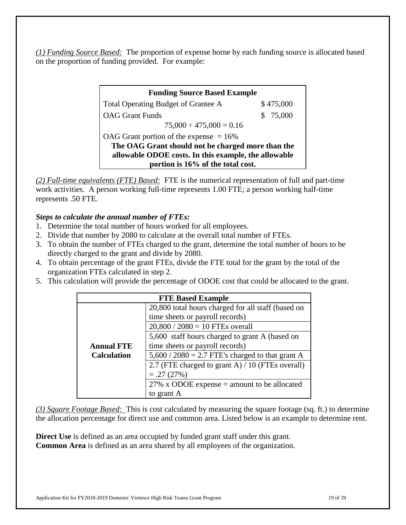*(1) Funding Source Based:* The proportion of expense borne by each funding source is allocated based on the proportion of funding provided. For example:

| <b>Funding Source Based Example</b>                  |           |  |
|------------------------------------------------------|-----------|--|
| Total Operating Budget of Grantee A                  | \$475,000 |  |
| <b>OAG</b> Grant Funds                               | \$75,000  |  |
| $75,000 \div 475,000 = 0.16$                         |           |  |
| OAG Grant portion of the expense $= 16\%$            |           |  |
| The OAG Grant should not be charged more than the    |           |  |
| allowable ODOE costs. In this example, the allowable |           |  |
| portion is 16% of the total cost.                    |           |  |

*(2) Full-time equivalents (FTE) Based:* FTE is the numerical representation of full and part-time work activities. A person working full-time represents 1.00 FTE; a person working half-time represents .50 FTE.

# *Steps to calculate the annual number of FTEs:*

- 1. Determine the total number of hours worked for all employees.
- 2. Divide that number by 2080 to calculate at the overall total number of FTEs.
- 3. To obtain the number of FTEs charged to the grant, determine the total number of hours to be directly charged to the grant and divide by 2080.
- 4. To obtain percentage of the grant FTEs, divide the FTE total for the grant by the total of the organization FTEs calculated in step 2.
- 5. This calculation will provide the percentage of ODOE cost that could be allocated to the grant.

| <b>FTE Based Example</b> |                                                    |  |
|--------------------------|----------------------------------------------------|--|
|                          | 20,800 total hours charged for all staff (based on |  |
|                          | time sheets or payroll records)                    |  |
|                          | $20,800 / 2080 = 10$ FTEs overall                  |  |
|                          | 5,600 staff hours charged to grant A (based on     |  |
| <b>Annual FTE</b>        | time sheets or payroll records)                    |  |
| <b>Calculation</b>       | $5,600 / 2080 = 2.7$ FTE's charged to that grant A |  |
|                          | 2.7 (FTE charged to grant A) / 10 (FTEs overall)   |  |
|                          | $=.27(27%)$                                        |  |
|                          | 27% x ODOE expense $=$ amount to be allocated      |  |
|                          | to grant A                                         |  |

*(3) Square Footage Based:* This is cost calculated by measuring the square footage (sq. ft.) to determine the allocation percentage for direct use and common area. Listed below is an example to determine rent.

**Direct Use** is defined as an area occupied by funded grant staff under this grant. **Common Area** is defined as an area shared by all employees of the organization.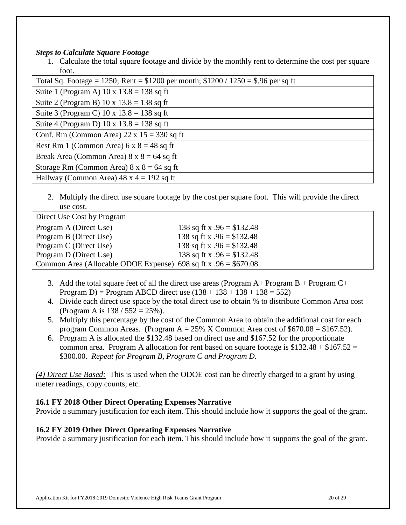#### *Steps to Calculate Square Footage*

1. Calculate the total square footage and divide by the monthly rent to determine the cost per square foot.

| Total Sq. Footage = 1250; Rent = $$1200$ per month; $$1200 / 1250 = $.96$ per sq ft |
|-------------------------------------------------------------------------------------|
| Suite 1 (Program A) $10 \times 13.8 = 138$ sq ft                                    |
| Suite 2 (Program B) $10 \times 13.8 = 138$ sq ft                                    |
| Suite 3 (Program C) $10 \times 13.8 = 138$ sq ft                                    |
| Suite 4 (Program D) $10 \times 13.8 = 138$ sq ft                                    |
| Conf. Rm (Common Area) $22 \times 15 = 330$ sq ft                                   |
| Rest Rm 1 (Common Area) $6 \times 8 = 48$ sq ft                                     |
| Break Area (Common Area) $8 \times 8 = 64$ sq ft                                    |
| Storage Rm (Common Area) $8 \times 8 = 64$ sq ft                                    |
| Hallway (Common Area) $48 \times 4 = 192$ sq ft                                     |

2. Multiply the direct use square footage by the cost per square foot. This will provide the direct use cost.

| Direct Use Cost by Program                                       |                             |
|------------------------------------------------------------------|-----------------------------|
| Program A (Direct Use)                                           | 138 sq ft x $.96 = $132.48$ |
| Program B (Direct Use)                                           | 138 sq ft x $.96 = $132.48$ |
| Program C (Direct Use)                                           | 138 sq ft x $.96 = $132.48$ |
| Program D (Direct Use)                                           | 138 sq ft x $.96 = $132.48$ |
| Common Area (Allocable ODOE Expense) 698 sq ft x $.96 = $670.08$ |                             |

- 3. Add the total square feet of all the direct use areas (Program  $A+$  Program  $B+$  Program  $C+$ Program D) = Program ABCD direct use  $(138 + 138 + 138 + 138 = 552)$
- 4. Divide each direct use space by the total direct use to obtain % to distribute Common Area cost (Program A is  $138 / 552 = 25\%$ ).
- 5. Multiply this percentage by the cost of the Common Area to obtain the additional cost for each program Common Areas. (Program  $A = 25\%$  X Common Area cost of \$670.08 = \$167.52).
- 6. Program A is allocated the \$132.48 based on direct use and \$167.52 for the proportionate common area. Program A allocation for rent based on square footage is  $$132.48 + $167.52 =$ \$300.00. *Repeat for Program B, Program C and Program D*.

*(4) Direct Use Based:* This is used when the ODOE cost can be directly charged to a grant by using meter readings, copy counts, etc.

# **16.1 FY 2018 Other Direct Operating Expenses Narrative**

Provide a summary justification for each item. This should include how it supports the goal of the grant.

### **16.2 FY 2019 Other Direct Operating Expenses Narrative**

Provide a summary justification for each item. This should include how it supports the goal of the grant.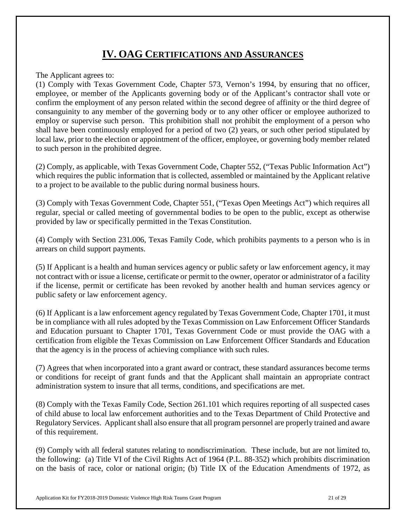# **IV. OAG CERTIFICATIONS AND ASSURANCES**

The Applicant agrees to:

(1) Comply with Texas Government Code, Chapter 573, Vernon's 1994, by ensuring that no officer, employee, or member of the Applicants governing body or of the Applicant's contractor shall vote or confirm the employment of any person related within the second degree of affinity or the third degree of consanguinity to any member of the governing body or to any other officer or employee authorized to employ or supervise such person. This prohibition shall not prohibit the employment of a person who shall have been continuously employed for a period of two (2) years, or such other period stipulated by local law, prior to the election or appointment of the officer, employee, or governing body member related to such person in the prohibited degree.

(2) Comply, as applicable, with Texas Government Code, Chapter 552, ("Texas Public Information Act") which requires the public information that is collected, assembled or maintained by the Applicant relative to a project to be available to the public during normal business hours.

(3) Comply with Texas Government Code, Chapter 551, ("Texas Open Meetings Act") which requires all regular, special or called meeting of governmental bodies to be open to the public, except as otherwise provided by law or specifically permitted in the Texas Constitution.

(4) Comply with Section 231.006, Texas Family Code, which prohibits payments to a person who is in arrears on child support payments.

(5) If Applicant is a health and human services agency or public safety or law enforcement agency, it may not contract with or issue a license, certificate or permit to the owner, operator or administrator of a facility if the license, permit or certificate has been revoked by another health and human services agency or public safety or law enforcement agency.

(6) If Applicant is a law enforcement agency regulated by Texas Government Code, Chapter 1701, it must be in compliance with all rules adopted by the Texas Commission on Law Enforcement Officer Standards and Education pursuant to Chapter 1701, Texas Government Code or must provide the OAG with a certification from eligible the Texas Commission on Law Enforcement Officer Standards and Education that the agency is in the process of achieving compliance with such rules.

(7) Agrees that when incorporated into a grant award or contract, these standard assurances become terms or conditions for receipt of grant funds and that the Applicant shall maintain an appropriate contract administration system to insure that all terms, conditions, and specifications are met.

(8) Comply with the Texas Family Code, Section 261.101 which requires reporting of all suspected cases of child abuse to local law enforcement authorities and to the Texas Department of Child Protective and Regulatory Services. Applicant shall also ensure that all program personnel are properly trained and aware of this requirement.

(9) Comply with all federal statutes relating to nondiscrimination. These include, but are not limited to, the following: (a) Title VI of the Civil Rights Act of 1964 (P.L. 88-352) which prohibits discrimination on the basis of race, color or national origin; (b) Title IX of the Education Amendments of 1972, as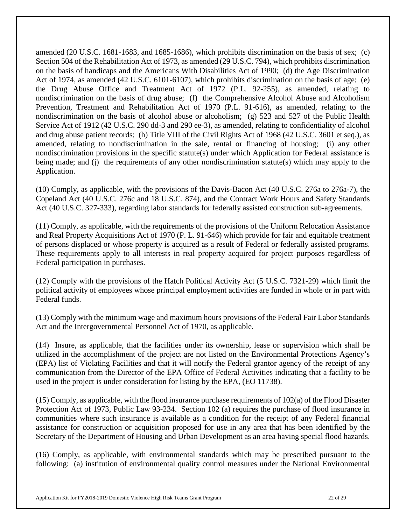amended (20 U.S.C. 1681-1683, and 1685-1686), which prohibits discrimination on the basis of sex; (c) Section 504 of the Rehabilitation Act of 1973, as amended (29 U.S.C. 794), which prohibits discrimination on the basis of handicaps and the Americans With Disabilities Act of 1990; (d) the Age Discrimination Act of 1974, as amended (42 U.S.C. 6101-6107), which prohibits discrimination on the basis of age; (e) the Drug Abuse Office and Treatment Act of 1972 (P.L. 92-255), as amended, relating to nondiscrimination on the basis of drug abuse; (f) the Comprehensive Alcohol Abuse and Alcoholism Prevention, Treatment and Rehabilitation Act of 1970 (P.L. 91-616), as amended, relating to the nondiscrimination on the basis of alcohol abuse or alcoholism; (g) 523 and 527 of the Public Health Service Act of 1912 (42 U.S.C. 290 dd-3 and 290 ee-3), as amended, relating to confidentiality of alcohol and drug abuse patient records; (h) Title VIII of the Civil Rights Act of 1968 (42 U.S.C. 3601 et seq.), as amended, relating to nondiscrimination in the sale, rental or financing of housing; (i) any other nondiscrimination provisions in the specific statute(s) under which Application for Federal assistance is being made; and (j) the requirements of any other nondiscrimination statute(s) which may apply to the Application.

(10) Comply, as applicable, with the provisions of the Davis-Bacon Act (40 U.S.C. 276a to 276a-7), the Copeland Act (40 U.S.C. 276c and 18 U.S.C. 874), and the Contract Work Hours and Safety Standards Act (40 U.S.C. 327-333), regarding labor standards for federally assisted construction sub-agreements.

(11) Comply, as applicable, with the requirements of the provisions of the Uniform Relocation Assistance and Real Property Acquisitions Act of 1970 (P. L. 91-646) which provide for fair and equitable treatment of persons displaced or whose property is acquired as a result of Federal or federally assisted programs. These requirements apply to all interests in real property acquired for project purposes regardless of Federal participation in purchases.

(12) Comply with the provisions of the Hatch Political Activity Act (5 U.S.C. 7321-29) which limit the political activity of employees whose principal employment activities are funded in whole or in part with Federal funds.

(13) Comply with the minimum wage and maximum hours provisions of the Federal Fair Labor Standards Act and the Intergovernmental Personnel Act of 1970, as applicable.

(14) Insure, as applicable, that the facilities under its ownership, lease or supervision which shall be utilized in the accomplishment of the project are not listed on the Environmental Protections Agency's (EPA) list of Violating Facilities and that it will notify the Federal grantor agency of the receipt of any communication from the Director of the EPA Office of Federal Activities indicating that a facility to be used in the project is under consideration for listing by the EPA, (EO 11738).

(15) Comply, as applicable, with the flood insurance purchase requirements of 102(a) of the Flood Disaster Protection Act of 1973, Public Law 93-234. Section 102 (a) requires the purchase of flood insurance in communities where such insurance is available as a condition for the receipt of any Federal financial assistance for construction or acquisition proposed for use in any area that has been identified by the Secretary of the Department of Housing and Urban Development as an area having special flood hazards.

(16) Comply, as applicable, with environmental standards which may be prescribed pursuant to the following: (a) institution of environmental quality control measures under the National Environmental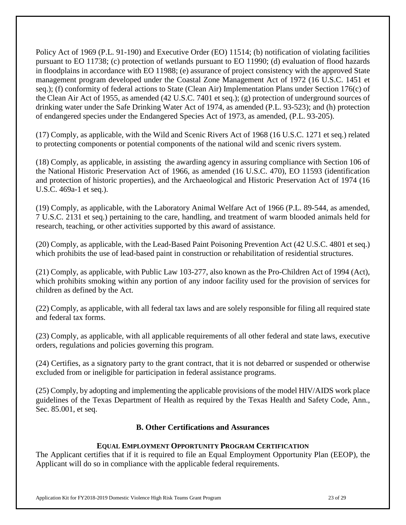Policy Act of 1969 (P.L. 91-190) and Executive Order (EO) 11514; (b) notification of violating facilities pursuant to EO 11738; (c) protection of wetlands pursuant to EO 11990; (d) evaluation of flood hazards in floodplains in accordance with EO 11988; (e) assurance of project consistency with the approved State management program developed under the Coastal Zone Management Act of 1972 (16 U.S.C. 1451 et seq.); (f) conformity of federal actions to State (Clean Air) Implementation Plans under Section 176(c) of the Clean Air Act of 1955, as amended (42 U.S.C. 7401 et seq.); (g) protection of underground sources of drinking water under the Safe Drinking Water Act of 1974, as amended (P.L. 93-523); and (h) protection of endangered species under the Endangered Species Act of 1973, as amended, (P.L. 93-205).

(17) Comply, as applicable, with the Wild and Scenic Rivers Act of 1968 (16 U.S.C. 1271 et seq.) related to protecting components or potential components of the national wild and scenic rivers system.

(18) Comply, as applicable, in assisting the awarding agency in assuring compliance with Section 106 of the National Historic Preservation Act of 1966, as amended (16 U.S.C. 470), EO 11593 (identification and protection of historic properties), and the Archaeological and Historic Preservation Act of 1974 (16 U.S.C. 469a-1 et seq.).

(19) Comply, as applicable, with the Laboratory Animal Welfare Act of 1966 (P.L. 89-544, as amended, 7 U.S.C. 2131 et seq.) pertaining to the care, handling, and treatment of warm blooded animals held for research, teaching, or other activities supported by this award of assistance.

(20) Comply, as applicable, with the Lead-Based Paint Poisoning Prevention Act (42 U.S.C. 4801 et seq.) which prohibits the use of lead-based paint in construction or rehabilitation of residential structures.

(21) Comply, as applicable, with Public Law 103-277, also known as the Pro-Children Act of 1994 (Act), which prohibits smoking within any portion of any indoor facility used for the provision of services for children as defined by the Act.

(22) Comply, as applicable, with all federal tax laws and are solely responsible for filing all required state and federal tax forms.

(23) Comply, as applicable, with all applicable requirements of all other federal and state laws, executive orders, regulations and policies governing this program.

(24) Certifies, as a signatory party to the grant contract, that it is not debarred or suspended or otherwise excluded from or ineligible for participation in federal assistance programs.

(25) Comply, by adopting and implementing the applicable provisions of the model HIV/AIDS work place guidelines of the Texas Department of Health as required by the Texas Health and Safety Code, Ann., Sec. 85.001, et seq.

# **B. Other Certifications and Assurances**

# **EQUAL EMPLOYMENT OPPORTUNITY PROGRAM CERTIFICATION**

The Applicant certifies that if it is required to file an Equal Employment Opportunity Plan (EEOP), the Applicant will do so in compliance with the applicable federal requirements.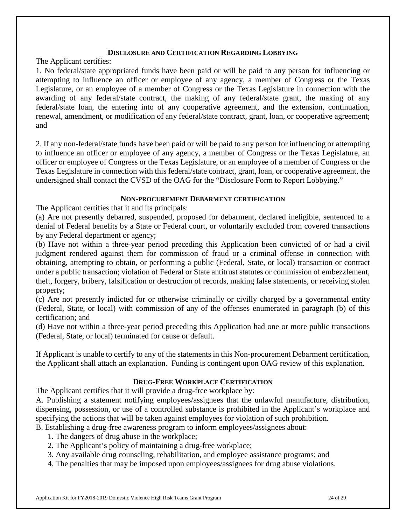#### **DISCLOSURE AND CERTIFICATION REGARDING LOBBYING**

The Applicant certifies:

1. No federal/state appropriated funds have been paid or will be paid to any person for influencing or attempting to influence an officer or employee of any agency, a member of Congress or the Texas Legislature, or an employee of a member of Congress or the Texas Legislature in connection with the awarding of any federal/state contract, the making of any federal/state grant, the making of any federal/state loan, the entering into of any cooperative agreement, and the extension, continuation, renewal, amendment, or modification of any federal/state contract, grant, loan, or cooperative agreement; and

2. If any non-federal/state funds have been paid or will be paid to any person for influencing or attempting to influence an officer or employee of any agency, a member of Congress or the Texas Legislature, an officer or employee of Congress or the Texas Legislature, or an employee of a member of Congress or the Texas Legislature in connection with this federal/state contract, grant, loan, or cooperative agreement, the undersigned shall contact the CVSD of the OAG for the "Disclosure Form to Report Lobbying."

#### **NON-PROCUREMENT DEBARMENT CERTIFICATION**

The Applicant certifies that it and its principals:

(a) Are not presently debarred, suspended, proposed for debarment, declared ineligible, sentenced to a denial of Federal benefits by a State or Federal court, or voluntarily excluded from covered transactions by any Federal department or agency;

(b) Have not within a three-year period preceding this Application been convicted of or had a civil judgment rendered against them for commission of fraud or a criminal offense in connection with obtaining, attempting to obtain, or performing a public (Federal, State, or local) transaction or contract under a public transaction; violation of Federal or State antitrust statutes or commission of embezzlement, theft, forgery, bribery, falsification or destruction of records, making false statements, or receiving stolen property;

(c) Are not presently indicted for or otherwise criminally or civilly charged by a governmental entity (Federal, State, or local) with commission of any of the offenses enumerated in paragraph (b) of this certification; and

(d) Have not within a three-year period preceding this Application had one or more public transactions (Federal, State, or local) terminated for cause or default.

If Applicant is unable to certify to any of the statements in this Non-procurement Debarment certification, the Applicant shall attach an explanation. Funding is contingent upon OAG review of this explanation.

### **DRUG-FREE WORKPLACE CERTIFICATION**

The Applicant certifies that it will provide a drug-free workplace by:

A. Publishing a statement notifying employees/assignees that the unlawful manufacture, distribution, dispensing, possession, or use of a controlled substance is prohibited in the Applicant's workplace and specifying the actions that will be taken against employees for violation of such prohibition.

B. Establishing a drug-free awareness program to inform employees/assignees about:

- 1. The dangers of drug abuse in the workplace;
- 2. The Applicant's policy of maintaining a drug-free workplace;
- 3. Any available drug counseling, rehabilitation, and employee assistance programs; and
- 4. The penalties that may be imposed upon employees/assignees for drug abuse violations.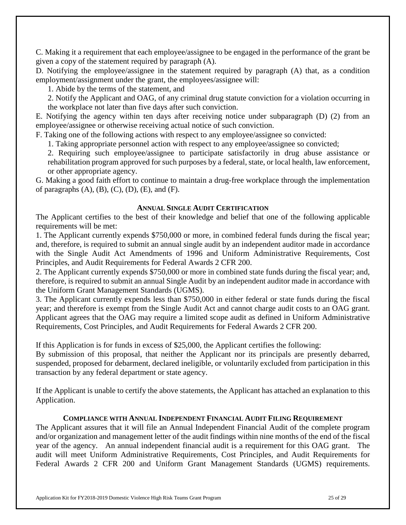C. Making it a requirement that each employee/assignee to be engaged in the performance of the grant be given a copy of the statement required by paragraph (A).

D. Notifying the employee/assignee in the statement required by paragraph (A) that, as a condition employment/assignment under the grant, the employees/assignee will:

1. Abide by the terms of the statement, and

2. Notify the Applicant and OAG, of any criminal drug statute conviction for a violation occurring in the workplace not later than five days after such conviction.

E. Notifying the agency within ten days after receiving notice under subparagraph (D) (2) from an employee/assignee or otherwise receiving actual notice of such conviction.

F. Taking one of the following actions with respect to any employee/assignee so convicted:

1. Taking appropriate personnel action with respect to any employee/assignee so convicted;

2. Requiring such employee/assignee to participate satisfactorily in drug abuse assistance or rehabilitation program approved for such purposes by a federal, state, or local health, law enforcement, or other appropriate agency.

G. Making a good faith effort to continue to maintain a drug-free workplace through the implementation of paragraphs  $(A)$ ,  $(B)$ ,  $(C)$ ,  $(D)$ ,  $(E)$ , and  $(F)$ .

### **ANNUAL SINGLE AUDIT CERTIFICATION**

The Applicant certifies to the best of their knowledge and belief that one of the following applicable requirements will be met:

1. The Applicant currently expends \$750,000 or more, in combined federal funds during the fiscal year; and, therefore, is required to submit an annual single audit by an independent auditor made in accordance with the Single Audit Act Amendments of 1996 and Uniform Administrative Requirements, Cost Principles, and Audit Requirements for Federal Awards 2 CFR 200.

2. The Applicant currently expends \$750,000 or more in combined state funds during the fiscal year; and, therefore, is required to submit an annual Single Audit by an independent auditor made in accordance with the Uniform Grant Management Standards (UGMS).

3. The Applicant currently expends less than \$750,000 in either federal or state funds during the fiscal year; and therefore is exempt from the Single Audit Act and cannot charge audit costs to an OAG grant. Applicant agrees that the OAG may require a limited scope audit as defined in Uniform Administrative Requirements, Cost Principles, and Audit Requirements for Federal Awards 2 CFR 200.

If this Application is for funds in excess of \$25,000, the Applicant certifies the following:

By submission of this proposal, that neither the Applicant nor its principals are presently debarred, suspended, proposed for debarment, declared ineligible, or voluntarily excluded from participation in this transaction by any federal department or state agency.

If the Applicant is unable to certify the above statements, the Applicant has attached an explanation to this Application.

#### **COMPLIANCE WITH ANNUAL INDEPENDENT FINANCIAL AUDIT FILING REQUIREMENT**

The Applicant assures that it will file an Annual Independent Financial Audit of the complete program and/or organization and management letter of the audit findings within nine months of the end of the fiscal year of the agency. An annual independent financial audit is a requirement for this OAG grant. The audit will meet Uniform Administrative Requirements, Cost Principles, and Audit Requirements for Federal Awards 2 CFR 200 and Uniform Grant Management Standards (UGMS) requirements.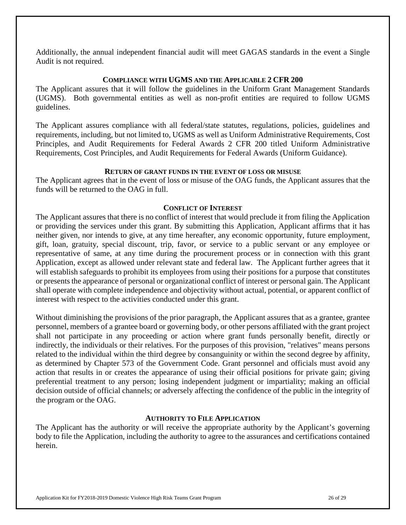Additionally, the annual independent financial audit will meet GAGAS standards in the event a Single Audit is not required.

#### **COMPLIANCE WITH UGMS AND THE APPLICABLE 2 CFR 200**

The Applicant assures that it will follow the guidelines in the Uniform Grant Management Standards (UGMS). Both governmental entities as well as non-profit entities are required to follow UGMS guidelines.

The Applicant assures compliance with all federal/state statutes, regulations, policies, guidelines and requirements, including, but not limited to, UGMS as well as Uniform Administrative Requirements, Cost Principles, and Audit Requirements for Federal Awards 2 CFR 200 titled Uniform Administrative Requirements, Cost Principles, and Audit Requirements for Federal Awards (Uniform Guidance).

#### **RETURN OF GRANT FUNDS IN THE EVENT OF LOSS OR MISUSE**

The Applicant agrees that in the event of loss or misuse of the OAG funds, the Applicant assures that the funds will be returned to the OAG in full.

#### **CONFLICT OF INTEREST**

The Applicant assures that there is no conflict of interest that would preclude it from filing the Application or providing the services under this grant. By submitting this Application, Applicant affirms that it has neither given, nor intends to give, at any time hereafter, any economic opportunity, future employment, gift, loan, gratuity, special discount, trip, favor, or service to a public servant or any employee or representative of same, at any time during the procurement process or in connection with this grant Application, except as allowed under relevant state and federal law. The Applicant further agrees that it will establish safeguards to prohibit its employees from using their positions for a purpose that constitutes or presents the appearance of personal or organizational conflict of interest or personal gain. The Applicant shall operate with complete independence and objectivity without actual, potential, or apparent conflict of interest with respect to the activities conducted under this grant.

Without diminishing the provisions of the prior paragraph, the Applicant assures that as a grantee, grantee personnel, members of a grantee board or governing body, or other persons affiliated with the grant project shall not participate in any proceeding or action where grant funds personally benefit, directly or indirectly, the individuals or their relatives. For the purposes of this provision, "relatives" means persons related to the individual within the third degree by consanguinity or within the second degree by affinity, as determined by Chapter 573 of the Government Code. Grant personnel and officials must avoid any action that results in or creates the appearance of using their official positions for private gain; giving preferential treatment to any person; losing independent judgment or impartiality; making an official decision outside of official channels; or adversely affecting the confidence of the public in the integrity of the program or the OAG.

#### **AUTHORITY TO FILE APPLICATION**

The Applicant has the authority or will receive the appropriate authority by the Applicant's governing body to file the Application, including the authority to agree to the assurances and certifications contained herein.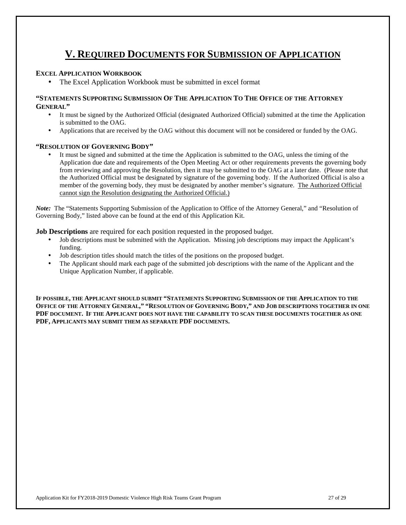# **V. REQUIRED DOCUMENTS FOR SUBMISSION OF APPLICATION**

#### **EXCEL APPLICATION WORKBOOK**

• The Excel Application Workbook must be submitted in excel format

#### **"STATEMENTS SUPPORTING SUBMISSION OF THE APPLICATION TO THE OFFICE OF THE ATTORNEY GENERAL"**

- It must be signed by the Authorized Official (designated Authorized Official) submitted at the time the Application is submitted to the OAG.
- Applications that are received by the OAG without this document will not be considered or funded by the OAG.

#### **"RESOLUTION OF GOVERNING BODY"**

It must be signed and submitted at the time the Application is submitted to the OAG, unless the timing of the Application due date and requirements of the Open Meeting Act or other requirements prevents the governing body from reviewing and approving the Resolution, then it may be submitted to the OAG at a later date. (Please note that the Authorized Official must be designated by signature of the governing body. If the Authorized Official is also a member of the governing body, they must be designated by another member's signature. The Authorized Official cannot sign the Resolution designating the Authorized Official.)

*Note:* The "Statements Supporting Submission of the Application to Office of the Attorney General," and "Resolution of Governing Body," listed above can be found at the end of this Application Kit.

**Job Descriptions** are required for each position requested in the proposed budget.

- Job descriptions must be submitted with the Application. Missing job descriptions may impact the Applicant's funding.
- Job description titles should match the titles of the positions on the proposed budget.
- The Applicant should mark each page of the submitted job descriptions with the name of the Applicant and the Unique Application Number, if applicable.

**IF POSSIBLE, THE APPLICANT SHOULD SUBMIT "STATEMENTS SUPPORTING SUBMISSION OF THE APPLICATION TO THE OFFICE OF THE ATTORNEY GENERAL," "RESOLUTION OF GOVERNING BODY," AND JOB DESCRIPTIONS TOGETHER IN ONE PDF DOCUMENT. IF THE APPLICANT DOES NOT HAVE THE CAPABILITY TO SCAN THESE DOCUMENTS TOGETHER AS ONE PDF, APPLICANTS MAY SUBMIT THEM AS SEPARATE PDF DOCUMENTS.**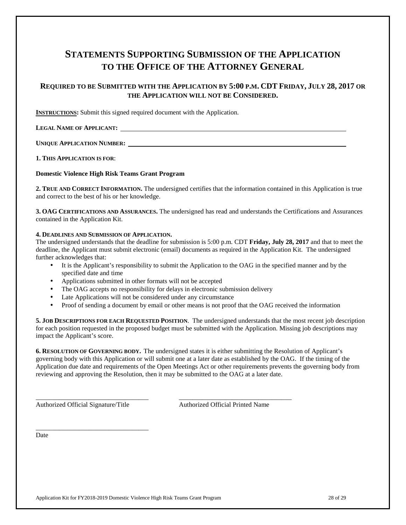# **STATEMENTS SUPPORTING SUBMISSION OF THE APPLICATION TO THE OFFICE OF THE ATTORNEY GENERAL**

#### REQUIRED TO BE SUBMITTED WITH THE APPLICATION BY 5:00 P.M. CDT FRIDAY, JULY 28, 2017 OR **THE APPLICATION WILL NOT BE CONSIDERED.**

**INSTRUCTIONS:** Submit this signed required document with the Application.

#### **LEGAL NAME OF APPLICANT:**

**UNIQUE APPLICATION NUMBER:** 

**1. THIS APPLICATION IS FOR**:

#### **Domestic Violence High Risk Teams Grant Program**

**2. TRUE AND CORRECT INFORMATION.** The undersigned certifies that the information contained in this Application is true and correct to the best of his or her knowledge.

**3. OAG CERTIFICATIONS AND ASSURANCES.** The undersigned has read and understands the Certifications and Assurances contained in the Application Kit.

#### **4. DEADLINES AND SUBMISSION OF APPLICATION.**

The undersigned understands that the deadline for submission is 5:00 p.m. CDT **Friday, July 28, 2017** and that to meet the deadline, the Applicant must submit electronic (email) documents as required in the Application Kit. The undersigned further acknowledges that:

- It is the Applicant's responsibility to submit the Application to the OAG in the specified manner and by the specified date and time
- Applications submitted in other formats will not be accepted
- The OAG accepts no responsibility for delays in electronic submission delivery

\_\_\_\_\_\_\_\_\_\_\_\_\_\_\_\_\_\_\_\_\_\_\_\_\_\_\_\_\_\_\_\_\_\_ \_\_\_\_\_\_\_\_\_\_\_\_\_\_\_\_\_\_\_\_\_\_\_\_\_\_\_\_\_\_\_\_\_\_

- Late Applications will not be considered under any circumstance
- Proof of sending a document by email or other means is not proof that the OAG received the information

**5. JOB DESCRIPTIONS FOR EACH REQUESTED POSITION**. The undersigned understands that the most recent job description for each position requested in the proposed budget must be submitted with the Application. Missing job descriptions may impact the Applicant's score.

**6. RESOLUTION OF GOVERNING BODY.** The undersigned states it is either submitting the Resolution of Applicant's governing body with this Application or will submit one at a later date as established by the OAG. If the timing of the Application due date and requirements of the Open Meetings Act or other requirements prevents the governing body from reviewing and approving the Resolution, then it may be submitted to the OAG at a later date.

Authorized Official Signature/Title Authorized Official Printed Name

\_\_\_\_\_\_\_\_\_\_\_\_\_\_\_\_\_\_\_\_\_\_\_\_\_\_\_\_\_\_\_\_\_\_ Date